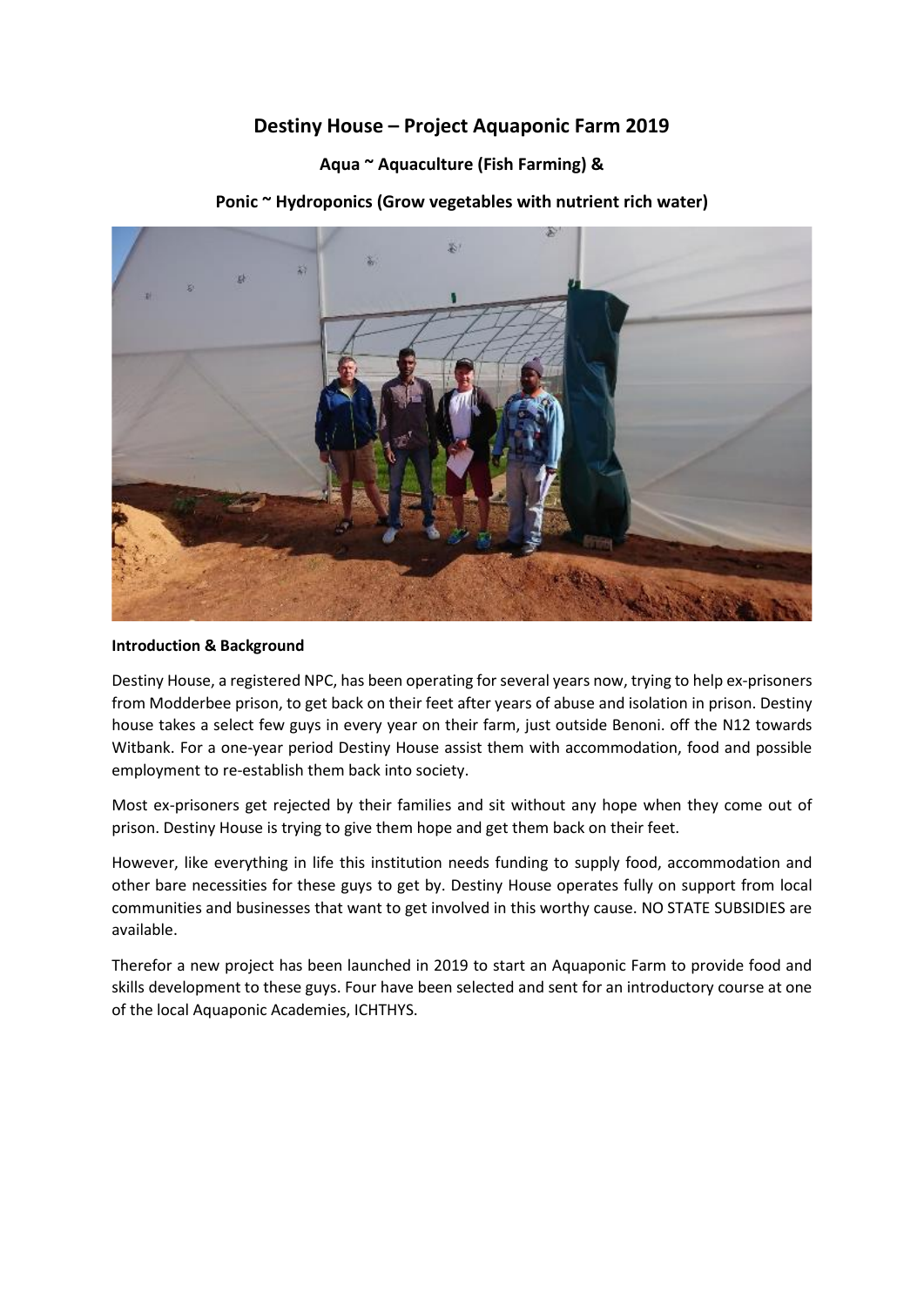# **Destiny House – Project Aquaponic Farm 2019**

## **Aqua ~ Aquaculture (Fish Farming) &**

### **Ponic ~ Hydroponics (Grow vegetables with nutrient rich water)**



#### **Introduction & Background**

Destiny House, a registered NPC, has been operating for several years now, trying to help ex-prisoners from Modderbee prison, to get back on their feet after years of abuse and isolation in prison. Destiny house takes a select few guys in every year on their farm, just outside Benoni. off the N12 towards Witbank. For a one-year period Destiny House assist them with accommodation, food and possible employment to re-establish them back into society.

Most ex-prisoners get rejected by their families and sit without any hope when they come out of prison. Destiny House is trying to give them hope and get them back on their feet.

However, like everything in life this institution needs funding to supply food, accommodation and other bare necessities for these guys to get by. Destiny House operates fully on support from local communities and businesses that want to get involved in this worthy cause. NO STATE SUBSIDIES are available.

Therefor a new project has been launched in 2019 to start an Aquaponic Farm to provide food and skills development to these guys. Four have been selected and sent for an introductory course at one of the local Aquaponic Academies, ICHTHYS.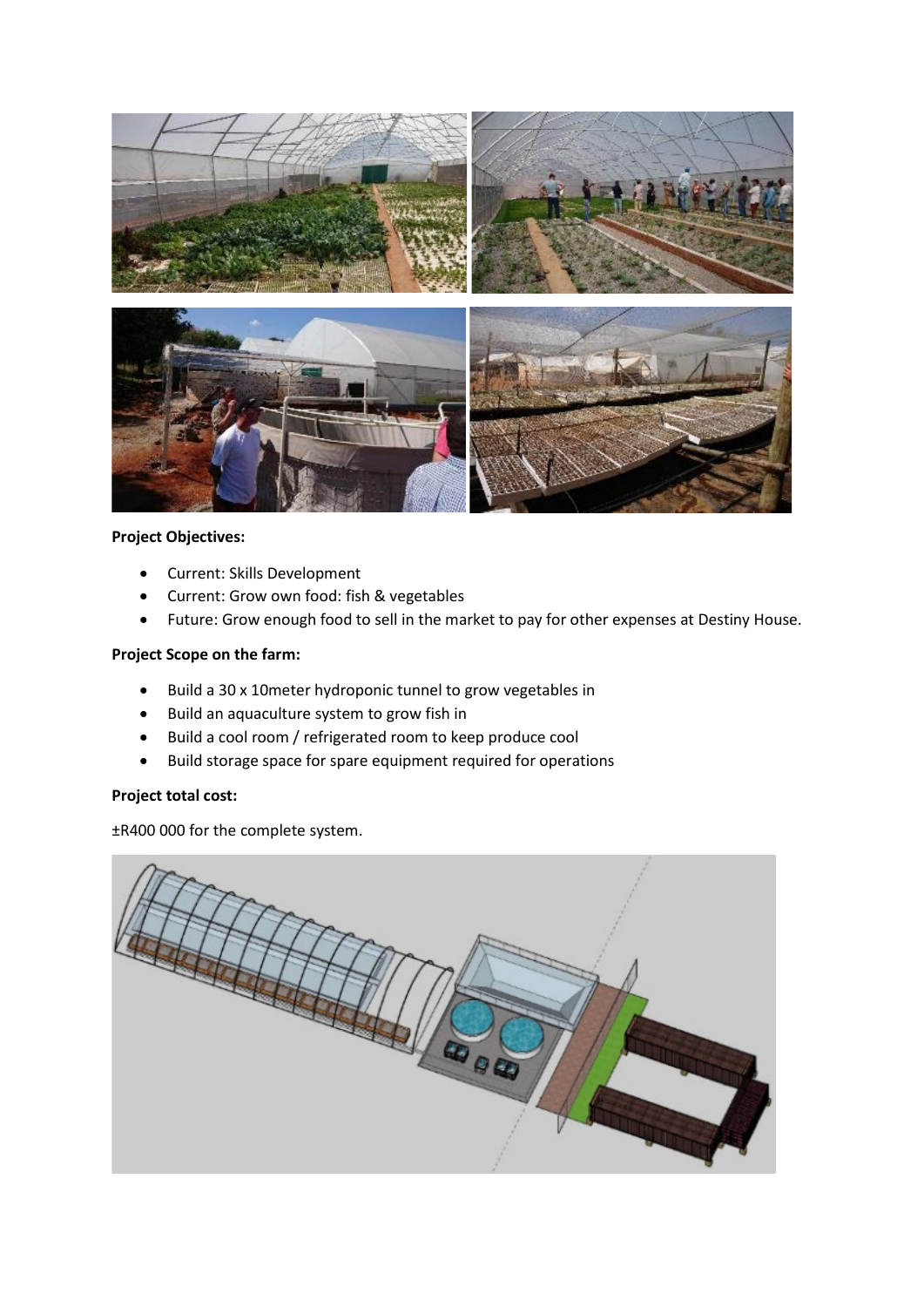

### **Project Objectives:**

- Current: Skills Development
- Current: Grow own food: fish & vegetables
- Future: Grow enough food to sell in the market to pay for other expenses at Destiny House.

### **Project Scope on the farm:**

- Build a 30 x 10meter hydroponic tunnel to grow vegetables in
- Build an aquaculture system to grow fish in
- Build a cool room / refrigerated room to keep produce cool
- Build storage space for spare equipment required for operations

### **Project total cost:**

±R400 000 for the complete system.

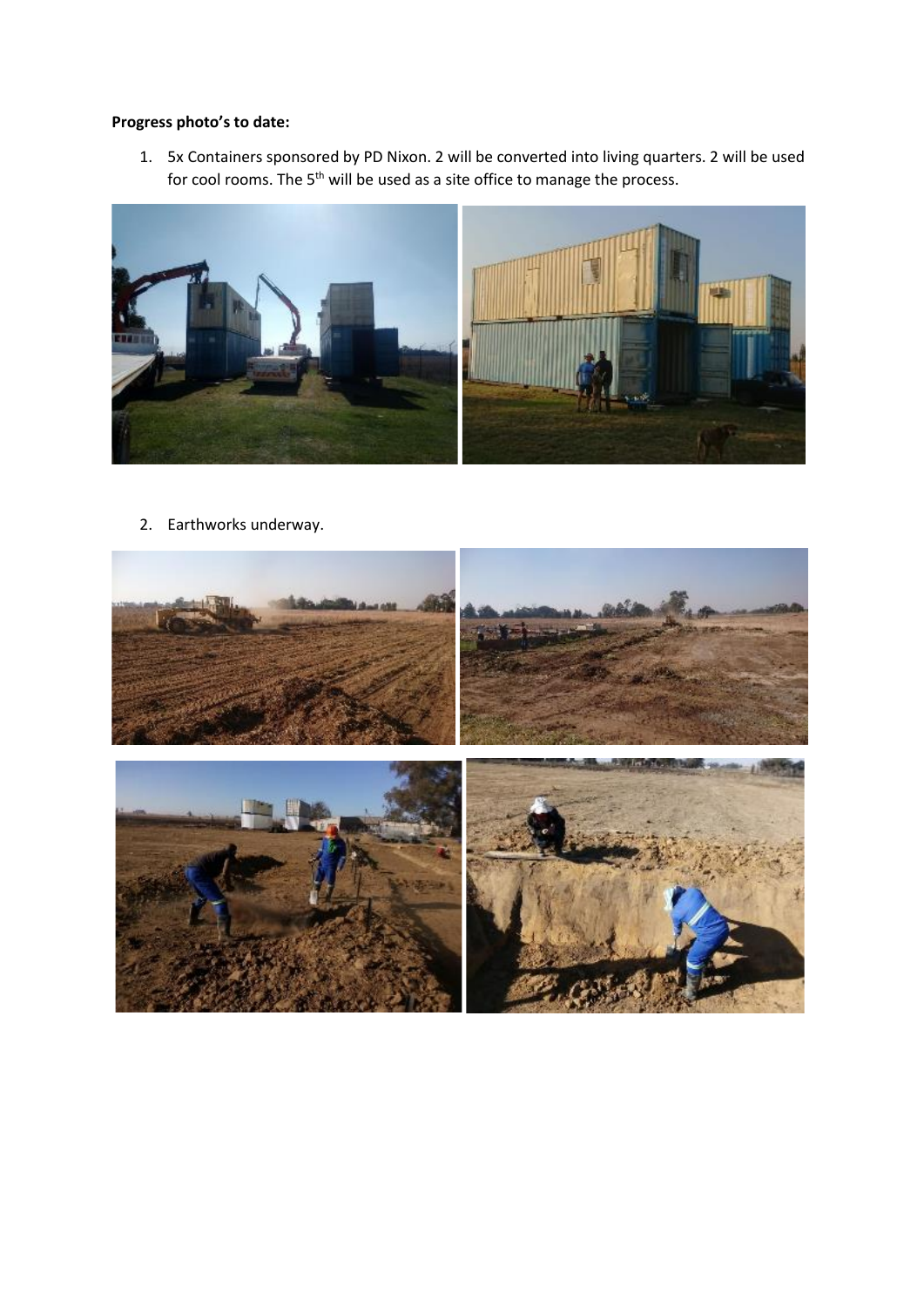# **Progress photo's to date:**

1. 5x Containers sponsored by PD Nixon. 2 will be converted into living quarters. 2 will be used for cool rooms. The 5<sup>th</sup> will be used as a site office to manage the process.



2. Earthworks underway.

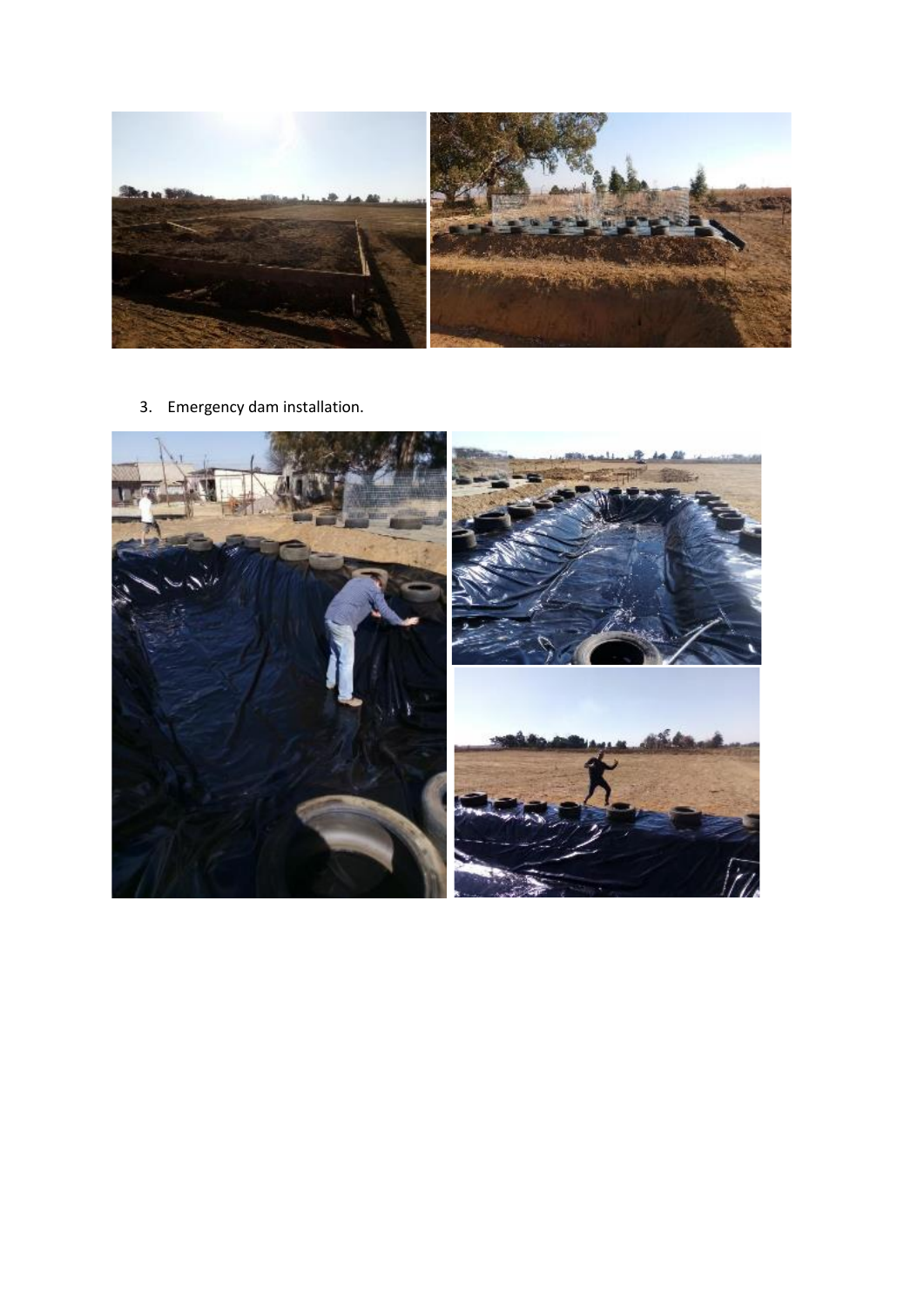

3. Emergency dam installation.